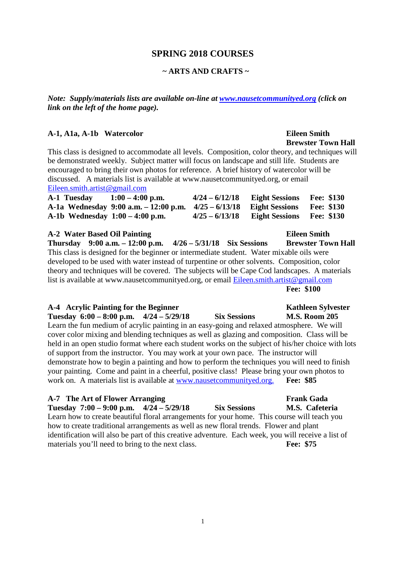### **SPRING 2018 COURSES**

### **~ ARTS AND CRAFTS ~**

*Note: Supply/materials lists are available on-line at www.nausetcommunityed.org (click on link on the left of the home page).* 

### **A-1, A1a, A-1b Watercolor Eileen Smith**

This class is designed to accommodate all levels. Composition, color theory, and techniques will be demonstrated weekly. Subject matter will focus on landscape and still life. Students are encouraged to bring their own photos for reference. A brief history of watercolor will be discussed. A materials list is available at www.nausetcommunityed.org, or email Eileen.smith.artist@gmail.com

**Brewster Town Hall** 

| A-1 Tuesday | $1:00 - 4:00$ p.m.                                                     | $4/24 - 6/12/18$ | <b>Eight Sessions</b> | <b>Fee: \$130</b> |
|-------------|------------------------------------------------------------------------|------------------|-----------------------|-------------------|
|             | A-1a Wednesday 9:00 a.m. $-12:00$ p.m. $4/25 - 6/13/18$ Eight Sessions |                  |                       | <b>Fee: \$130</b> |
|             | A-1b Wednesday $1:00 - 4:00$ p.m.                                      | $4/25 - 6/13/18$ | <b>Eight Sessions</b> | <b>Fee: \$130</b> |

### **A-2 Water Based Oil Painting Eileen Smith Thursday 9:00 a.m. – 12:00 p.m. 4/26 – 5/31/18 Six Sessions Brewster Town Hall**  This class is designed for the beginner or intermediate student. Water mixable oils were developed to be used with water instead of turpentine or other solvents. Composition, color theory and techniques will be covered. The subjects will be Cape Cod landscapes. A materials list is available at www.nausetcommunityed.org, or email Eileen.smith.artist@gmail.com **Fee: \$100**

| A-4 Acrylic Painting for the Beginner                                                             |                     | <b>Kathleen Sylvester</b> |
|---------------------------------------------------------------------------------------------------|---------------------|---------------------------|
| Tuesday $6:00 - 8:00$ p.m. $4/24 - 5/29/18$                                                       | <b>Six Sessions</b> | <b>M.S. Room 205</b>      |
| Learn the fun medium of acrylic painting in an easy-going and relaxed atmosphere. We will         |                     |                           |
| cover color mixing and blending techniques as well as glazing and composition. Class will be      |                     |                           |
| held in an open studio format where each student works on the subject of his/her choice with lots |                     |                           |
| of support from the instructor. You may work at your own pace. The instructor will                |                     |                           |
| demonstrate how to begin a painting and how to perform the techniques you will need to finish     |                     |                           |
| your painting. Come and paint in a cheerful, positive class! Please bring your own photos to      |                     |                           |
| work on. A materials list is available at www.nausetcommunityed.org. Fee: \$85                    |                     |                           |
|                                                                                                   |                     |                           |

| A-7 The Art of Flower Arranging                                                                    |  |                     | <b>Frank Gada</b> |
|----------------------------------------------------------------------------------------------------|--|---------------------|-------------------|
| Tuesday $7:00 - 9:00$ p.m. $4/24 - 5/29/18$                                                        |  | <b>Six Sessions</b> | M.S. Cafeteria    |
| Learn how to create beautiful floral arrangements for your home. This course will teach you        |  |                     |                   |
| how to create traditional arrangements as well as new floral trends. Flower and plant              |  |                     |                   |
| identification will also be part of this creative adventure. Each week, you will receive a list of |  |                     |                   |
| materials you'll need to bring to the next class.                                                  |  |                     | Fee: \$75         |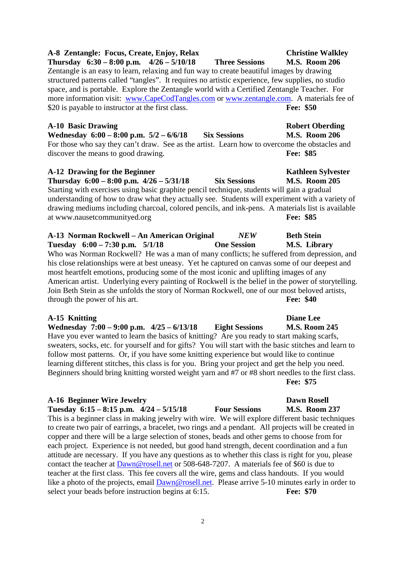**A-8 Zentangle: Focus, Create, Enjoy, Relax Christine Walkley Thursday 6:30 – 8:00 p.m. 4/26 – 5/10/18 Three Sessions M.S. Room 206**  Zentangle is an easy to learn, relaxing and fun way to create beautiful images by drawing

structured patterns called "tangles". It requires no artistic experience, few supplies, no studio space, and is portable. Explore the Zentangle world with a Certified Zentangle Teacher. For more information visit: www.CapeCodTangles.com or www.zentangle.com. A materials fee of \$20 is payable to instructor at the first class. **Fee: \$50** 

### **A-10 Basic Drawing Robert Oberding**

**Wednesday 6:00 – 8:00 p.m. 5/2 – 6/6/18 Six Sessions M.S. Room 206**  For those who say they can't draw. See as the artist. Learn how to overcome the obstacles and discover the means to good drawing. **Fee: \$85** 

### A-12 Drawing for the Beginner **Kathleen Sylvester Kathleen Sylvester**

**Thursday 6:00 – 8:00 p.m. 4/26 – 5/31/18 Six Sessions M.S. Room 205**  Starting with exercises using basic graphite pencil technique, students will gain a gradual understanding of how to draw what they actually see. Students will experiment with a variety of drawing mediums including charcoal, colored pencils, and ink-pens. A materials list is available at www.nausetcommunityed.org **Fee: \$85** 

**A-13 Norman Rockwell – An American Original** *NEW* **Beth Stein Tuesday 6:00 – 7:30 p.m. 5/1/18 One Session M.S. Library**  Who was Norman Rockwell? He was a man of many conflicts; he suffered from depression, and his close relationships were at best uneasy. Yet he captured on canvas some of our deepest and most heartfelt emotions, producing some of the most iconic and uplifting images of any American artist. Underlying every painting of Rockwell is the belief in the power of storytelling. Join Beth Stein as she unfolds the story of Norman Rockwell, one of our most beloved artists, through the power of his art. **Fee: \$40** 

### **A-15 Knitting Diane Lee**

**Wednesday 7:00 – 9:00 p.m. 4/25 – 6/13/18 Eight Sessions M.S. Room 245**  Have you ever wanted to learn the basics of knitting? Are you ready to start making scarfs, sweaters, socks, etc. for yourself and for gifts? You will start with the basic stitches and learn to follow most patterns. Or, if you have some knitting experience but would like to continue learning different stitches, this class is for you. Bring your project and get the help you need. Beginners should bring knitting worsted weight yarn and #7 or #8 short needles to the first class.

### **A-16 Beginner Wire Jewelry Dawn Rosell**

**Tuesday 6:15 – 8:15 p.m. 4/24 – 5/15/18 Four Sessions M.S. Room 237**  This is a beginner class in making jewelry with wire. We will explore different basic techniques to create two pair of earrings, a bracelet, two rings and a pendant. All projects will be created in copper and there will be a large selection of stones, beads and other gems to choose from for each project. Experience is not needed, but good hand strength, decent coordination and a fun attitude are necessary. If you have any questions as to whether this class is right for you, please contact the teacher at Dawn@rosell.net or 508-648-7207. A materials fee of \$60 is due to teacher at the first class. This fee covers all the wire, gems and class handouts. If you would like a photo of the projects, email  $\text{Dawn@rosell.net}$ . Please arrive 5-10 minutes early in order to select your beads before instruction begins at 6:15. **Fee: \$70** 

## **Fee: \$75**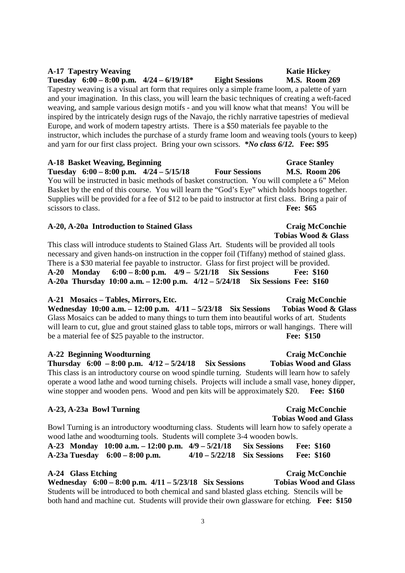Tapestry weaving is a visual art form that requires only a simple frame loom, a palette of yarn and your imagination. In this class, you will learn the basic techniques of creating a weft-faced weaving, and sample various design motifs - and you will know what that means! You will be inspired by the intricately design rugs of the Navajo, the richly narrative tapestries of medieval Europe, and work of modern tapestry artists. There is a \$50 materials fee payable to the instructor, which includes the purchase of a sturdy frame loom and weaving tools (yours to keep) and yarn for our first class project. Bring your own scissors. *\*No class 6/12.* **Fee: \$95** 

A-17 Tapestry Weaving **Katie Hickey Katie Hickey Tuesday 6:00 – 8:00 p.m. 4/24 – 6/19/18\* Eight Sessions M.S. Room 269** 

**A-18 Basket Weaving, Beginning Grace Stanley Tuesday 6:00 – 8:00 p.m. 4/24 – 5/15/18 Four Sessions M.S. Room 206**  You will be instructed in basic methods of basket construction. You will complete a 6" Melon Basket by the end of this course. You will learn the "God's Eye" which holds hoops together. Supplies will be provided for a fee of \$12 to be paid to instructor at first class. Bring a pair of scissors to class. **Fee: \$65** 

### **A-20, A-20a Introduction to Stained Glass Craig McConchie**

 **Tobias Wood & Glass**  This class will introduce students to Stained Glass Art. Students will be provided all tools necessary and given hands-on instruction in the copper foil (Tiffany) method of stained glass. There is a \$30 material fee payable to instructor. Glass for first project will be provided. **A-20 Monday 6:00 – 8:00 p.m. 4/9 – 5/21/18 Six Sessions Fee: \$160 A-20a Thursday 10:00 a.m. – 12:00 p.m. 4/12 – 5/24/18 Six Sessions Fee: \$160** 

### **A-21 Mosaics – Tables, Mirrors, Etc. Craig McConchie**

**Wednesday 10:00 a.m. – 12:00 p.m. 4/11 – 5/23/18 Six Sessions Tobias Wood & Glass**  Glass Mosaics can be added to many things to turn them into beautiful works of art. Students will learn to cut, glue and grout stained glass to table tops, mirrors or wall hangings. There will be a material fee of \$25 payable to the instructor. **Fee: \$150** 

### **A-22 Beginning Woodturning Craig McConchie**

**Thursday 6:00 – 8:00 p.m. 4/12 – 5/24/18 Six Sessions Tobias Wood and Glass**  This class is an introductory course on wood spindle turning. Students will learn how to safely operate a wood lathe and wood turning chisels. Projects will include a small vase, honey dipper, wine stopper and wooden pens. Wood and pen kits will be approximately \$20. **Fee: \$160** 

### **A-23, A-23a Bowl Turning Craig McConchie**

Bowl Turning is an introductory woodturning class. Students will learn how to safely operate a wood lathe and woodturning tools. Students will complete 3-4 wooden bowls. **A-23 Monday 10:00 a.m. – 12:00 p.m. 4/9 – 5/21/18 Six Sessions Fee: \$160 A-23a Tuesday 6:00 – 8:00 p.m. 4/10 – 5/22/18 Six Sessions Fee: \$160** 

### **A-24 Glass Etching Craig McConchie**

**Wednesday 6:00 – 8:00 p.m. 4/11 – 5/23/18 Six Sessions Tobias Wood and Glass**  Students will be introduced to both chemical and sand blasted glass etching. Stencils will be both hand and machine cut. Students will provide their own glassware for etching. **Fee: \$150** 

 **Tobias Wood and Glass**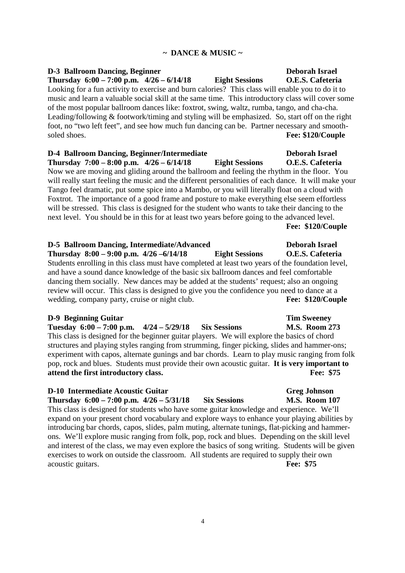### **~ DANCE & MUSIC ~**

**D-3 Ballroom Dancing, Beginner Deborah Israel Thursday 6:00 – 7:00 p.m. 4/26 – 6/14/18 Eight Sessions O.E.S. Cafeteria**  Looking for a fun activity to exercise and burn calories? This class will enable you to do it to music and learn a valuable social skill at the same time. This introductory class will cover some of the most popular ballroom dances like: foxtrot, swing, waltz, rumba, tango, and cha-cha. Leading/following & footwork/timing and styling will be emphasized. So, start off on the right foot, no "two left feet", and see how much fun dancing can be. Partner necessary and smoothsoled shoes. **Fee: \$120/Couple** 

**D-4 Ballroom Dancing, Beginner/Intermediate Deborah Israel Thursday 7:00 – 8:00 p.m. 4/26 – 6/14/18 Eight Sessions O.E.S. Cafeteria**  Now we are moving and gliding around the ballroom and feeling the rhythm in the floor. You will really start feeling the music and the different personalities of each dance. It will make your Tango feel dramatic, put some spice into a Mambo, or you will literally float on a cloud with Foxtrot. The importance of a good frame and posture to make everything else seem effortless will be stressed. This class is designed for the student who wants to take their dancing to the next level. You should be in this for at least two years before going to the advanced level. **Fee: \$120/Couple** 

**D-5 Ballroom Dancing, Intermediate/Advanced Deborah Israel Thursday 8:00 – 9:00 p.m. 4/26 –6/14/18 Eight Sessions O.E.S. Cafeteria**  Students enrolling in this class must have completed at least two years of the foundation level, and have a sound dance knowledge of the basic six ballroom dances and feel comfortable dancing them socially. New dances may be added at the students' request; also an ongoing review will occur. This class is designed to give you the confidence you need to dance at a wedding, company party, cruise or night club. **Fee: \$120/Couple** 

### **D-9 Beginning Guitar Tim Sweeney All Accords Tim Sweeney**

**Tuesday 6:00 – 7:00 p.m. 4/24 – 5/29/18 Six Sessions M.S. Room 273** 

This class is designed for the beginner guitar players. We will explore the basics of chord structures and playing styles ranging from strumming, finger picking, slides and hammer-ons; experiment with capos, alternate gunings and bar chords. Learn to play music ranging from folk pop, rock and blues. Students must provide their own acoustic guitar. **It is very important to attend the first introductory class. Fee: \$75** 

### **D-10 Intermediate Acoustic Guitar Greg Johnson**

**Thursday 6:00 – 7:00 p.m. 4/26 – 5/31/18 Six Sessions M.S. Room 107**  This class is designed for students who have some guitar knowledge and experience. We'll expand on your present chord vocabulary and explore ways to enhance your playing abilities by introducing bar chords, capos, slides, palm muting, alternate tunings, flat-picking and hammerons. We'll explore music ranging from folk, pop, rock and blues. Depending on the skill level and interest of the class, we may even explore the basics of song writing. Students will be given exercises to work on outside the classroom. All students are required to supply their own acoustic guitars. **Fee: \$75**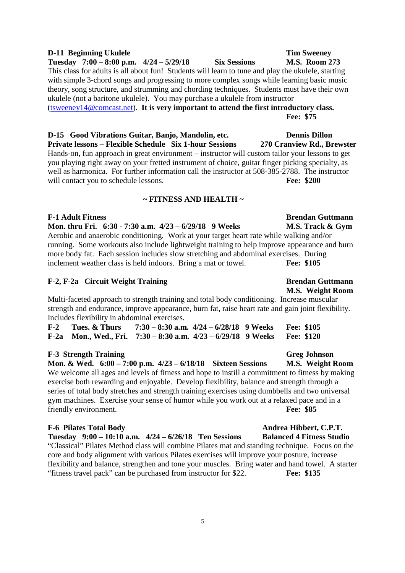### **D-11 Beginning Ukulele** Tim Sweeney

**Tuesday 7:00 – 8:00 p.m. 4/24 – 5/29/18 Six Sessions M.S. Room 273**  This class for adults is all about fun! Students will learn to tune and play the ukulele, starting with simple 3-chord songs and progressing to more complex songs while learning basic music theory, song structure, and strumming and chording techniques. Students must have their own ukulele (not a baritone ukulele). You may purchase a ukulele from instructor (tsweeney14@comcast.net). **It is very important to attend the first introductory class.**

**Fee: \$75** 

**D-15 Good Vibrations Guitar, Banjo, Mandolin, etc. Dennis Dillon Private lessons – Flexible Schedule Six 1-hour Sessions 270 Cranview Rd., Brewster** 

Hands-on, fun approach in great environment – instructor will custom tailor your lessons to get you playing right away on your fretted instrument of choice, guitar finger picking specialty, as well as harmonica. For further information call the instructor at 508-385-2788. The instructor will contact you to schedule lessons. **Fee: \$200** 

### **~ FITNESS AND HEALTH ~**

**F-1 Adult Fitness Brendan Guttmann Mon. thru Fri. 6:30 - 7:30 a.m. 4/23 – 6/29/18 9 Weeks M.S. Track & Gym**  Aerobic and anaerobic conditioning. Work at your target heart rate while walking and/or running. Some workouts also include lightweight training to help improve appearance and burn more body fat. Each session includes slow stretching and abdominal exercises. During inclement weather class is held indoors. Bring a mat or towel. **Fee: \$105** 

### F-2, F-2a Circuit Weight Training Brendan Guttmann

Multi-faceted approach to strength training and total body conditioning. Increase muscular strength and endurance, improve appearance, burn fat, raise heart rate and gain joint flexibility. Includes flexibility in abdominal exercises.

| $F-2$ Tues. & Thurs                                                      | $7:30 - 8:30$ a.m. $4/24 - 6/28/18$ 9 Weeks |  | <b>Fee: \$105</b> |
|--------------------------------------------------------------------------|---------------------------------------------|--|-------------------|
| F-2a Mon., Wed., Fri. $7:30-8:30$ a.m. $4/23-6/29/18$ 9 Weeks Fee: \$120 |                                             |  |                   |

### F-3 Strength Training Greg Johnson

**Mon. & Wed. 6:00 – 7:00 p.m. 4/23 – 6/18/18 Sixteen Sessions M.S. Weight Room**  We welcome all ages and levels of fitness and hope to instill a commitment to fitness by making exercise both rewarding and enjoyable. Develop flexibility, balance and strength through a series of total body stretches and strength training exercises using dumbbells and two universal gym machines. Exercise your sense of humor while you work out at a relaxed pace and in a friendly environment. **Fee: \$85** 

### F-6 Pilates Total Body Andrea Hibbert, C.P.T.

**Tuesday 9:00 – 10:10 a.m. 4/24 – 6/26/18 Ten Sessions Balanced 4 Fitness Studio**  "Classical" Pilates Method class will combine Pilates mat and standing technique. Focus on the core and body alignment with various Pilates exercises will improve your posture, increase flexibility and balance, strengthen and tone your muscles. Bring water and hand towel. A starter "fitness travel pack" can be purchased from instructor for \$22. **Fee: \$135** 

## **M.S. Weight Room**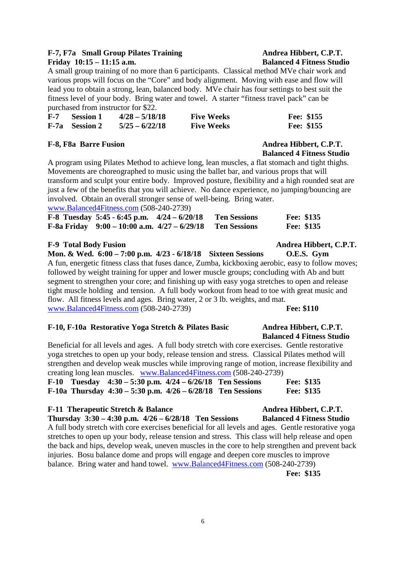### F-7, F7a Small Group Pilates Training Andrea Hibbert, C.P.T. **Friday 10:15 – 11:15 a.m. Balanced 4 Fitness Studio**

A small group training of no more than 6 participants. Classical method MVe chair work and various props will focus on the "Core" and body alignment. Moving with ease and flow will lead you to obtain a strong, lean, balanced body. MVe chair has four settings to best suit the fitness level of your body. Bring water and towel. A starter "fitness travel pack" can be purchased from instructor for \$22.

| $F-7$ | – Session 1           | $4/28 - 5/18/18$ | <b>Five Weeks</b> | Fee: \$155 |
|-------|-----------------------|------------------|-------------------|------------|
|       | <b>F-7a</b> Session 2 | $5/25 - 6/22/18$ | <b>Five Weeks</b> | Fee: \$155 |

### F-8, F8a Barre Fusion **Andrea Hibbert, C.P.T. Andrea Hibbert**, C.P.T.

 **Balanced 4 Fitness Studio**  A program using Pilates Method to achieve long, lean muscles, a flat stomach and tight thighs. Movements are choreographed to music using the ballet bar, and various props that will transform and sculpt your entire body. Improved posture, flexibility and a high rounded seat are just a few of the benefits that you will achieve. No dance experience, no jumping/bouncing are involved. Obtain an overall stronger sense of well-being. Bring water. www.Balanced4Fitness.com (508-240-2739)

| F-8 Tuesday 5:45 - 6:45 p.m. $4/24 - 6/20/18$    | <b>Ten Sessions</b> | Fee: \$135 |
|--------------------------------------------------|---------------------|------------|
| F-8a Friday $9:00 - 10:00$ a.m. $4/27 - 6/29/18$ | <b>Ten Sessions</b> | Fee: \$135 |

### F-9 Total Body Fusion **Andrea Hibbert, C.P.T.**

**Mon. & Wed. 6:00 – 7:00 p.m. 4/23 - 6/18/18 Sixteen Sessions O.E.S. Gym**  A fun, energetic fitness class that fuses dance, Zumba, kickboxing aerobic, easy to follow moves; followed by weight training for upper and lower muscle groups; concluding with Ab and butt segment to strengthen your core; and finishing up with easy yoga stretches to open and release tight muscle holding and tension. A full body workout from head to toe with great music and flow. All fitness levels and ages. Bring water, 2 or 3 lb. weights, and mat. www.Balanced4Fitness.com (508-240-2739) **Fee: \$110** 

### **F-10, F-10a Restorative Yoga Stretch & Pilates Basic Andrea Hibbert, C.P.T.**

Beneficial for all levels and ages. A full body stretch with core exercises. Gentle restorative yoga stretches to open up your body, release tension and stress. Classical Pilates method will strengthen and develop weak muscles while improving range of motion, increase flexibility and creating long lean muscles. www.Balanced4Fitness.com (508-240-2739)

|  | F-10 Tuesday $4:30 - 5:30$ p.m. $4/24 - 6/26/18$ Ten Sessions   |  | Fee: \$135        |
|--|-----------------------------------------------------------------|--|-------------------|
|  | F-10a Thursday $4:30 - 5:30$ p.m. $4/26 - 6/28/18$ Ten Sessions |  | <b>Fee: \$135</b> |

### F-11 Therapeutic Stretch & Balance **Andrea Hibbert, C.P.T.**

**Thursday 3:30 – 4:30 p.m. 4/26 – 6/28/18 Ten Sessions Balanced 4 Fitness Studio**  A full body stretch with core exercises beneficial for all levels and ages. Gentle restorative yoga stretches to open up your body, release tension and stress. This class will help release and open the back and hips, develop weak, uneven muscles in the core to help strengthen and prevent back injuries. Bosu balance dome and props will engage and deepen core muscles to improve balance. Bring water and hand towel. www.Balanced4Fitness.com (508-240-2739) **Fee: \$135** 

## **Balanced 4 Fitness Studio**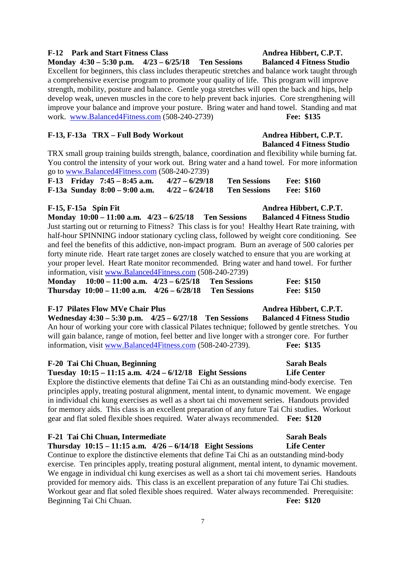### F-12 Park and Start Fitness Class Andrea Hibbert, C.P.T.

**Monday 4:30 – 5:30 p.m. 4/23 – 6/25/18 Ten Sessions Balanced 4 Fitness Studio** 

Excellent for beginners, this class includes therapeutic stretches and balance work taught through a comprehensive exercise program to promote your quality of life. This program will improve strength, mobility, posture and balance. Gentle yoga stretches will open the back and hips, help develop weak, uneven muscles in the core to help prevent back injuries. Core strengthening will improve your balance and improve your posture. Bring water and hand towel. Standing and mat work. www.Balanced4Fitness.com (508-240-2739) **Fee: \$135** 

### F-13, F-13a TRX – Full Body Workout Andrea Hibbert, C.P.T.

TRX small group training builds strength, balance, coordination and flexibility while burning fat. You control the intensity of your work out. Bring water and a hand towel. For more information go to www.Balanced4Fitness.com (508-240-2739)

| $\overline{\phantom{0}}$ | F-13 Friday $7:45 - 8:45$ a.m.  | $4/27 - 6/29/18$ | <b>Ten Sessions</b> | <b>Fee: \$160</b> |  |
|--------------------------|---------------------------------|------------------|---------------------|-------------------|--|
|                          | F-13a Sunday $8:00 - 9:00$ a.m. | $4/22 - 6/24/18$ | <b>Ten Sessions</b> | <b>Fee: \$160</b> |  |

### F-15, F-15a Spin Fit **Andrea Hibbert, C.P.T.** Andrea Hibbert, C.P.T.

**Monday 10:00 – 11:00 a.m. 4/23 – 6/25/18 Ten Sessions Balanced 4 Fitness Studio**  Just starting out or returning to Fitness? This class is for you! Healthy Heart Rate training, with half-hour SPINNING indoor stationary cycling class, followed by weight core conditioning. See and feel the benefits of this addictive, non-impact program. Burn an average of 500 calories per forty minute ride. Heart rate target zones are closely watched to ensure that you are working at your proper level. Heart Rate monitor recommended. Bring water and hand towel. For further information, visit www.Balanced4Fitness.com (508-240-2739)

| Monday $10:00 - 11:00$ a.m. $4/23 - 6/25/18$ Ten Sessions   |  | <b>Fee: \$150</b> |
|-------------------------------------------------------------|--|-------------------|
| Thursday $10:00 - 11:00$ a.m. $4/26 - 6/28/18$ Ten Sessions |  | <b>Fee: \$150</b> |

### F-17 Pilates Flow MVe Chair Plus **Andrea Hibbert, C.P.T.** Andrea Hibbert, C.P.T.

**Wednesday 4:30 – 5:30 p.m. 4/25 – 6/27/18 Ten Sessions Balanced 4 Fitness Studio**  An hour of working your core with classical Pilates technique; followed by gentle stretches. You will gain balance, range of motion, feel better and live longer with a stronger core. For further information, visit www.Balanced4Fitness.com (508-240-2739). **Fee: \$135**

### **F-20 Tai Chi Chuan, Beginning Sarah Beals Sarah Beals Sarah Beals**

**Tuesday 10:15 – 11:15 a.m. 4/24 – 6/12/18 Eight Sessions Life Center** 

Explore the distinctive elements that define Tai Chi as an outstanding mind-body exercise. Ten principles apply, treating postural alignment, mental intent, to dynamic movement. We engage in individual chi kung exercises as well as a short tai chi movement series. Handouts provided for memory aids. This class is an excellent preparation of any future Tai Chi studies. Workout gear and flat soled flexible shoes required. Water always recommended. **Fee: \$120** 

### **F-21 Tai Chi Chuan, Intermediate Sarah Beals**

**Thursday 10:15 – 11:15 a.m. 4/26 – 6/14/18 Eight Sessions Life Center** 

Continue to explore the distinctive elements that define Tai Chi as an outstanding mind-body exercise. Ten principles apply, treating postural alignment, mental intent, to dynamic movement. We engage in individual chi kung exercises as well as a short tai chi movement series. Handouts provided for memory aids. This class is an excellent preparation of any future Tai Chi studies. Workout gear and flat soled flexible shoes required. Water always recommended. Prerequisite: Beginning Tai Chi Chuan. **Fee: \$120** 

## **Balanced 4 Fitness Studio**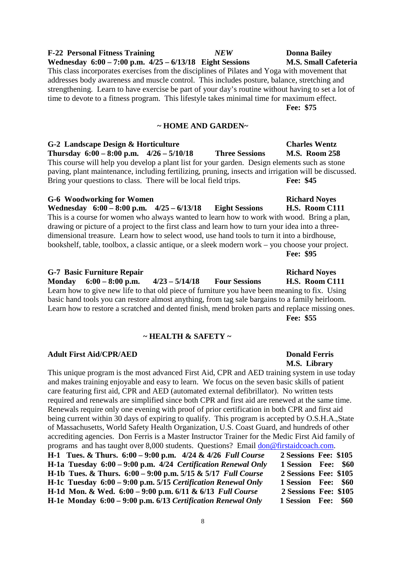### 8

### **F-22 Personal Fitness Training** *NEW* **Donna Bailey**  Wednesday 6:00 – 7:00 p.m.  $4/25 - 6/13/18$  Eight Sessions M.S. Small Cafeteria

This class incorporates exercises from the disciplines of Pilates and Yoga with movement that addresses body awareness and muscle control. This includes posture, balance, stretching and strengthening. Learn to have exercise be part of your day's routine without having to set a lot of time to devote to a fitness program. This lifestyle takes minimal time for maximum effect. **Fee: \$75** 

### **~ HOME AND GARDEN~**

**G-2 Landscape Design & Horticulture Charles Wentz Thursday 6:00 – 8:00 p.m. 4/26 – 5/10/18 Three Sessions M.S. Room 258**  This course will help you develop a plant list for your garden. Design elements such as stone paving, plant maintenance, including fertilizing, pruning, insects and irrigation will be discussed. Bring your questions to class. There will be local field trips. **Fee: \$45** 

### G-6 Woodworking for Women **Richard Noves Richard Noves Richard Noves**

**Wednesday 6:00 – 8:00 p.m. 4/25 – 6/13/18 Eight Sessions H.S. Room C111**  This is a course for women who always wanted to learn how to work with wood. Bring a plan, drawing or picture of a project to the first class and learn how to turn your idea into a threedimensional treasure. Learn how to select wood, use hand tools to turn it into a birdhouse, bookshelf, table, toolbox, a classic antique, or a sleek modern work – you choose your project. **Fee: \$95** 

### **G-7 Basic Furniture Repair Richard Noyes**

**Monday 6:00 – 8:00 p.m. 4/23 – 5/14/18 Four Sessions H.S. Room C111**  Learn how to give new life to that old piece of furniture you have been meaning to fix. Using basic hand tools you can restore almost anything, from tag sale bargains to a family heirloom. Learn how to restore a scratched and dented finish, mend broken parts and replace missing ones. **Fee: \$55** 

### **~ HEALTH & SAFETY ~**

### **Adult First Aid/CPR/AED Donald Ferris**

This unique program is the most advanced First Aid, CPR and AED training system in use today and makes training enjoyable and easy to learn. We focus on the seven basic skills of patient care featuring first aid, CPR and AED (automated external defibrillator). No written tests required and renewals are simplified since both CPR and first aid are renewed at the same time. Renewals require only one evening with proof of prior certification in both CPR and first aid being current within 30 days of expiring to qualify. This program is accepted by O.S.H.A.,State of Massachusetts, World Safety Health Organization, U.S. Coast Guard, and hundreds of other accrediting agencies. Don Ferris is a Master Instructor Trainer for the Medic First Aid family of programs and has taught over 8,000 students. Questions? Email don@firstaidcoach.com. **H-1 Tues. & Thurs. 6:00 – 9:00 p.m. 4/24 & 4/26** *Full Course* **2 Sessions Fee: \$105 H-1a Tuesday 6:00 – 9:00 p.m. 4/24** *Certification Renewal Only* **1 Session Fee: \$60 H-1b Tues. & Thurs. 6:00 – 9:00 p.m. 5/15 & 5/17** *Full Course* **2 Sessions Fee: \$105 H-1c Tuesday 6:00 – 9:00 p.m. 5/15** *Certification Renewal Only* **1 Session Fee: \$60 H-1d Mon. & Wed. 6:00 – 9:00 p.m. 6/11 & 6/13** *Full Course* **2 Sessions Fee: \$105** 

### **H-1e Monday 6:00 – 9:00 p.m. 6/13** *Certification Renewal Only* **1 Session Fee: \$60**

 **M.S. Library**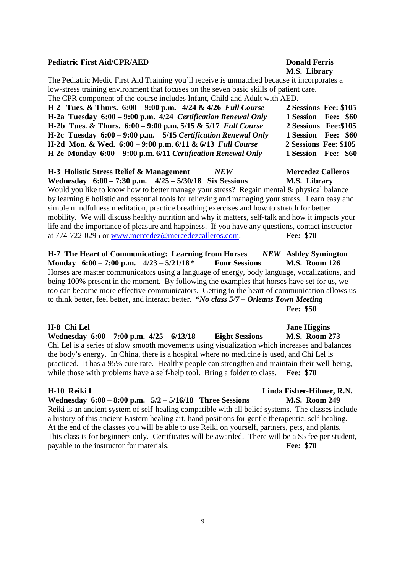### **Pediatric First Aid/CPR/AED Donald Ferris**

## **M.S. Library**

The Pediatric Medic First Aid Training you'll receive is unmatched because it incorporates a low-stress training environment that focuses on the seven basic skills of patient care. The CPR component of the course includes Infant, Child and Adult with AED. **H-2 Tues. & Thurs. 6:00 – 9:00 p.m. 4/24 & 4/26** *Full Course* **2 Sessions Fee: \$105 H-2a Tuesday 6:00 – 9:00 p.m. 4/24** *Certification Renewal Only* **1 Session Fee: \$60 H-2b Tues. & Thurs. 6:00 – 9:00 p.m. 5/15 & 5/17** *Full Course* **2 Sessions Fee:\$105 H-2c Tuesday 6:00 – 9:00 p.m. 5/15** *Certification Renewal Only* **1 Session Fee: \$60 H-2d Mon. & Wed. 6:00 – 9:00 p.m. 6/11 & 6/13** *Full Course* **2 Sessions Fee: \$105 H-2e Monday 6:00 – 9:00 p.m. 6/11** *Certification Renewal Only* **1 Session Fee: \$60** 

**H-3 Holistic Stress Relief & Management** *NEW* **Mercedez Calleros Wednesday 6:00 – 7:30 p.m. 4/25 – 5/30/18 Six Sessions M.S. Library**  Would you like to know how to better manage your stress? Regain mental & physical balance by learning 6 holistic and essential tools for relieving and managing your stress. Learn easy and simple mindfulness meditation, practice breathing exercises and how to stretch for better mobility. We will discuss healthy nutrition and why it matters, self-talk and how it impacts your life and the importance of pleasure and happiness. If you have any questions, contact instructor at 774-722-0295 or www.mercedez@mercedezcalleros.com. **Fee: \$70** 

**H-7 The Heart of Communicating: Learning from Horses** *NEW* **Ashley Symington Monday 6:00 – 7:00 p.m. 4/23 – 5/21/18 \* Four Sessions M.S. Room 126**  Horses are master communicators using a language of energy, body language, vocalizations, and being 100% present in the moment. By following the examples that horses have set for us, we too can become more effective communicators. Getting to the heart of communication allows us to think better, feel better, and interact better. *\*No class 5/7 – Orleans Town Meeting*  **Fee: \$50** 

**H-8 Chi Lel Jane Higgins Wednesday 6:00 – 7:00 p.m. 4/25 – 6/13/18 Eight Sessions M.S. Room 273**  Chi Lel is a series of slow smooth movements using visualization which increases and balances the body's energy. In China, there is a hospital where no medicine is used, and Chi Lel is practiced. It has a 95% cure rate. Healthy people can strengthen and maintain their well-being, while those with problems have a self-help tool. Bring a folder to class. **Fee: \$70** 

**Wednesday 6:00 – 8:00 p.m. 5/2 – 5/16/18 Three Sessions M.S. Room 249**  Reiki is an ancient system of self-healing compatible with all belief systems. The classes include a history of this ancient Eastern healing art, hand positions for gentle therapeutic, self-healing. At the end of the classes you will be able to use Reiki on yourself, partners, pets, and plants. This class is for beginners only. Certificates will be awarded. There will be a \$5 fee per student, payable to the instructor for materials. **Fee: \$70** 

### 9

## **H-10 Reiki I Linda Fisher-Hilmer, R.N.**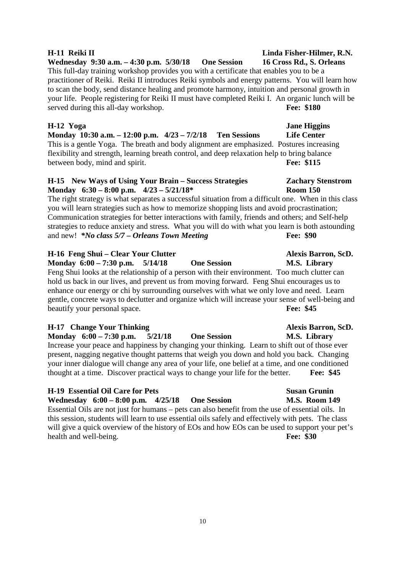### **H-11 Reiki II Linda Fisher-Hilmer, R.N.**

**Wednesday 9:30 a.m. – 4:30 p.m. 5/30/18 One Session 16 Cross Rd., S. Orleans**  This full-day training workshop provides you with a certificate that enables you to be a practitioner of Reiki. Reiki II introduces Reiki symbols and energy patterns. You will learn how to scan the body, send distance healing and promote harmony, intuition and personal growth in your life. People registering for Reiki II must have completed Reiki I. An organic lunch will be served during this all-day workshop. **Fee: \$180** 

**Monday 10:30 a.m. – 12:00 p.m. 4/23 – 7/2/18 Ten Sessions Life Center**  This is a gentle Yoga. The breath and body alignment are emphasized. Postures increasing flexibility and strength, learning breath control, and deep relaxation help to bring balance between body, mind and spirit. **Fee: \$115** 

### **H-15 New Ways of Using Your Brain – Success Strategies Zachary Stenstrom Monday 6:30 – 8:00 p.m. 4/23 – 5/21/18\* Room 150**

The right strategy is what separates a successful situation from a difficult one. When in this class you will learn strategies such as how to memorize shopping lists and avoid procrastination; Communication strategies for better interactions with family, friends and others; and Self-help strategies to reduce anxiety and stress. What you will do with what you learn is both astounding and new! *\*No class 5/7 – Orleans Town Meeting* **Fee: \$90** 

### **H-16 Feng Shui – Clear Your Clutter Alexis Barron, ScD.**

**Monday 6:00 – 7:30 p.m. 5/14/18 One Session M.S. Library**  Feng Shui looks at the relationship of a person with their environment. Too much clutter can hold us back in our lives, and prevent us from moving forward. Feng Shui encourages us to enhance our energy or chi by surrounding ourselves with what we only love and need. Learn gentle, concrete ways to declutter and organize which will increase your sense of well-being and beautify your personal space. **Fee: \$45** 

### **H-17** Change Your Thinking Alexis Barron, ScD.

**Monday 6:00 – 7:30 p.m. 5/21/18 One Session M.S. Library**  Increase your peace and happiness by changing your thinking. Learn to shift out of those ever present, nagging negative thought patterns that weigh you down and hold you back. Changing your inner dialogue will change any area of your life, one belief at a time, and one conditioned thought at a time. Discover practical ways to change your life for the better. **Fee: \$45** 

### **H-19 Essential Oil Care for Pets Susan Grunin**

**Wednesday 6:00 – 8:00 p.m. 4/25/18 One Session M.S. Room 149**  Essential Oils are not just for humans – pets can also benefit from the use of essential oils. In this session, students will learn to use essential oils safely and effectively with pets. The class will give a quick overview of the history of EOs and how EOs can be used to support your pet's health and well-being. **Fee: \$30** 

## **H-12 Yoga Jane Higgins**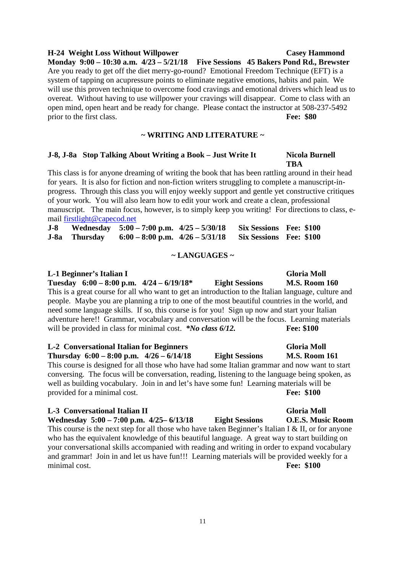### 11

### **H-24 Weight Loss Without Willpower Casey Hammond**

**Monday 9:00 – 10:30 a.m. 4/23 – 5/21/18 Five Sessions 45 Bakers Pond Rd., Brewster**  Are you ready to get off the diet merry-go-round? Emotional Freedom Technique (EFT) is a system of tapping on acupressure points to eliminate negative emotions, habits and pain. We will use this proven technique to overcome food cravings and emotional drivers which lead us to overeat. Without having to use willpower your cravings will disappear. Come to class with an open mind, open heart and be ready for change. Please contact the instructor at 508-237-5492 prior to the first class. **Fee: \$80** 

### **~ WRITING AND LITERATURE ~**

### **J-8, J-8a** Stop Talking About Writing a Book – Just Write It Nicola Burnell  **TBA**

This class is for anyone dreaming of writing the book that has been rattling around in their head for years. It is also for fiction and non-fiction writers struggling to complete a manuscript-inprogress. Through this class you will enjoy weekly support and gentle yet constructive critiques of your work. You will also learn how to edit your work and create a clean, professional manuscript. The main focus, however, is to simply keep you writing! For directions to class, email firstlight@capecod.net

| $J-8$ |               | Wednesday $5:00 - 7:00$ p.m. $4/25 - 5/30/18$ | <b>Six Sessions Fee: \$100</b> |  |
|-------|---------------|-----------------------------------------------|--------------------------------|--|
|       | J-8a Thursday | $6:00 - 8:00$ p.m. $4/26 - 5/31/18$           | <b>Six Sessions Fee: \$100</b> |  |

### **~ LANGUAGES ~**

**L-1 Beginner's Italian I Gloria Moll**  Gloria Moll **Gloria Moll Tuesday 6:00 – 8:00 p.m. 4/24 – 6/19/18\* Eight Sessions M.S. Room 160**  This is a great course for all who want to get an introduction to the Italian language, culture and people. Maybe you are planning a trip to one of the most beautiful countries in the world, and need some language skills. If so, this course is for you! Sign up now and start your Italian adventure here!! Grammar, vocabulary and conversation will be the focus. Learning materials will be provided in class for minimal cost. *\*No class 6/12*. **Fee: \$100** 

### **L-2 Conversational Italian for Beginners Gloria Moll Thursday 6:00 – 8:00 p.m. 4/26 – 6/14/18 Eight Sessions M.S. Room 161**  This course is designed for all those who have had some Italian grammar and now want to start conversing. The focus will be conversation, reading, listening to the language being spoken, as well as building vocabulary. Join in and let's have some fun! Learning materials will be provided for a minimal cost. **Fee: \$100**

### **L-3 Conversational Italian II Gloria Moll**

**Wednesday 5:00 – 7:00 p.m. 4/25– 6/13/18 Eight Sessions O.E.S. Music Room**  This course is the next step for all those who have taken Beginner's Italian I & II, or for anyone who has the equivalent knowledge of this beautiful language. A great way to start building on your conversational skills accompanied with reading and writing in order to expand vocabulary and grammar! Join in and let us have fun!!! Learning materials will be provided weekly for a minimal cost. **Fee: \$100**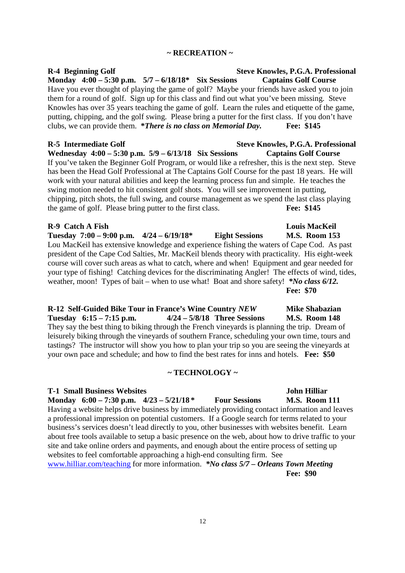### **~ RECREATION ~**

### R-4 Beginning Golf Steve Knowles, P.G.A. Professional **Monday 4:00 – 5:30 p.m. 5/7 – 6/18/18\* Six Sessions Captains Golf Course**  Have you ever thought of playing the game of golf? Maybe your friends have asked you to join them for a round of golf. Sign up for this class and find out what you've been missing. Steve Knowles has over 35 years teaching the game of golf. Learn the rules and etiquette of the game, putting, chipping, and the golf swing. Please bring a putter for the first class. If you don't have clubs, we can provide them. **\****There is no class on Memorial Day.* **Fee: \$145**

R-5 Intermediate Golf Steve Knowles, P.G.A. Professional **Wednesday 4:00 – 5:30 p.m. 5/9 – 6/13/18 Six Sessions Captains Golf Course**  If you've taken the Beginner Golf Program, or would like a refresher, this is the next step. Steve has been the Head Golf Professional at The Captains Golf Course for the past 18 years. He will work with your natural abilities and keep the learning process fun and simple. He teaches the swing motion needed to hit consistent golf shots. You will see improvement in putting, chipping, pitch shots, the full swing, and course management as we spend the last class playing the game of golf. Please bring putter to the first class. **Fee: \$145**

### **R-9 Catch A Fish Louis MacKeil Louis MacKeil**

**Tuesday 7:00 – 9:00 p.m. 4/24 – 6/19/18\* Eight Sessions M.S. Room 153**  Lou MacKeil has extensive knowledge and experience fishing the waters of Cape Cod. As past president of the Cape Cod Salties, Mr. MacKeil blends theory with practicality. His eight-week course will cover such areas as what to catch, where and when! Equipment and gear needed for your type of fishing! Catching devices for the discriminating Angler! The effects of wind, tides, weather, moon! Types of bait – when to use what! Boat and shore safety! *\*No class 6/12.* **Fee: \$70** 

### **R-12 Self-Guided Bike Tour in France's Wine Country** *NEW* **Mike Shabazian Tuesday 6:15 – 7:15 p.m. 4/24 – 5/8/18 Three Sessions M.S. Room 148**  They say the best thing to biking through the French vineyards is planning the trip. Dream of leisurely biking through the vineyards of southern France, scheduling your own time, tours and tastings? The instructor will show you how to plan your trip so you are seeing the vineyards at your own pace and schedule; and how to find the best rates for inns and hotels. **Fee: \$50**

### **~ TECHNOLOGY ~**

**T-1 Small Business Websites John Hilliar Monday 6:00 – 7:30 p.m. 4/23 – 5/21/18 \* Four Sessions M.S. Room 111**  Having a website helps drive business by immediately providing contact information and leaves a professional impression on potential customers. If a Google search for terms related to your business's services doesn't lead directly to you, other businesses with websites benefit. Learn about free tools available to setup a basic presence on the web, about how to drive traffic to your site and take online orders and payments, and enough about the entire process of setting up websites to feel comfortable approaching a high-end consulting firm. See www.hilliar.com/teaching for more information. *\*No class 5/7 – Orleans Town Meeting* **Fee: \$90**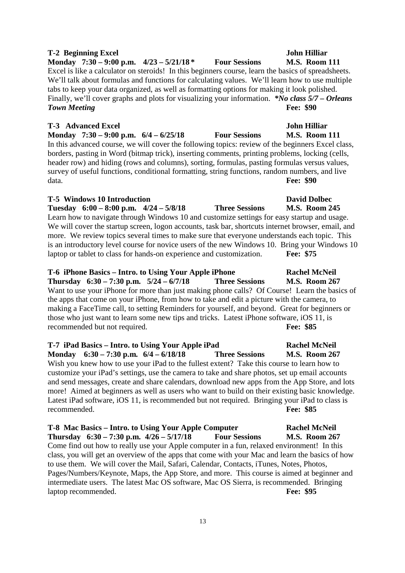### **T-2 Beginning Excel** John Hilliar

**Monday 7:30 – 9:00 p.m. 4/23 – 5/21/18 \* Four Sessions M.S. Room 111**  Excel is like a calculator on steroids! In this beginners course, learn the basics of spreadsheets. We'll talk about formulas and functions for calculating values. We'll learn how to use multiple tabs to keep your data organized, as well as formatting options for making it look polished. Finally, we'll cover graphs and plots for visualizing your information. *\*No class 5/7 – Orleans Town Meeting* **<b>Fee: \$90** 

### **T-3 Advanced Excel 3 Community Community Community Community Community Community Community Community Community**

**Monday 7:30 – 9:00 p.m. 6/4 – 6/25/18 Four Sessions M.S. Room 111**  In this advanced course, we will cover the following topics: review of the beginners Excel class, borders, pasting in Word (bitmap trick), inserting comments, printing problems, locking (cells, header row) and hiding (rows and columns), sorting, formulas, pasting formulas versus values, survey of useful functions, conditional formatting, string functions, random numbers, and live data. **Fee: \$90** 

### **T-5 Windows 10 Introduction David Dolbec**

**Tuesday 6:00 – 8:00 p.m. 4/24 – 5/8/18 Three Sessions M.S. Room 245**  Learn how to navigate through Windows 10 and customize settings for easy startup and usage. We will cover the startup screen, logon accounts, task bar, shortcuts internet browser, email, and more. We review topics several times to make sure that everyone understands each topic. This is an introductory level course for novice users of the new Windows 10. Bring your Windows 10 laptop or tablet to class for hands-on experience and customization. **Fee: \$75** 

**T-6 iPhone Basics – Intro. to Using Your Apple iPhone Rachel McNeil Thursday 6:30 – 7:30 p.m. 5/24 – 6/7/18 Three Sessions M.S. Room 267**  Want to use your iPhone for more than just making phone calls? Of Course! Learn the basics of the apps that come on your iPhone, from how to take and edit a picture with the camera, to making a FaceTime call, to setting Reminders for yourself, and beyond. Great for beginners or those who just want to learn some new tips and tricks. Latest iPhone software, iOS 11, is recommended but not required. **Fee: \$85** 

### **T-7 iPad Basics – Intro. to Using Your Apple iPad Rachel McNeil Monday 6:30 – 7:30 p.m. 6/4 – 6/18/18 Three Sessions M.S. Room 267**  Wish you knew how to use your iPad to the fullest extent? Take this course to learn how to customize your iPad's settings, use the camera to take and share photos, set up email accounts and send messages, create and share calendars, download new apps from the App Store, and lots more! Aimed at beginners as well as users who want to build on their existing basic knowledge. Latest iPad software, iOS 11, is recommended but not required. Bringing your iPad to class is recommended. **Fee: \$85**

**T-8 Mac Basics – Intro. to Using Your Apple Computer Rachel McNeil Thursday 6:30 – 7:30 p.m. 4/26 – 5/17/18 Four Sessions M.S. Room 267**  Come find out how to really use your Apple computer in a fun, relaxed environment! In this class, you will get an overview of the apps that come with your Mac and learn the basics of how to use them. We will cover the Mail, Safari, Calendar, Contacts, iTunes, Notes, Photos, Pages/Numbers/Keynote, Maps, the App Store, and more. This course is aimed at beginner and intermediate users. The latest Mac OS software, Mac OS Sierra, is recommended. Bringing laptop recommended. **Fee: \$95**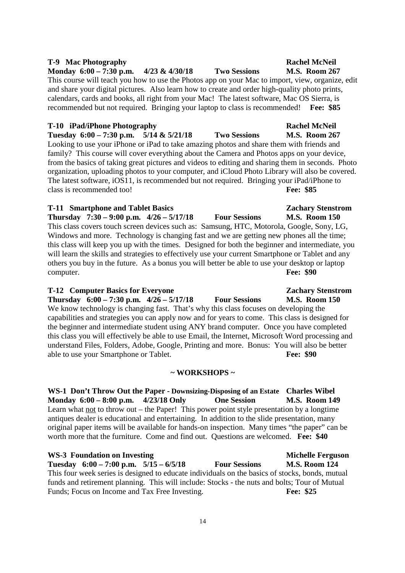### family? This course will cover everything about the Camera and Photos apps on your device, from the basics of taking great pictures and videos to editing and sharing them in seconds. Photo

organization, uploading photos to your computer, and iCloud Photo Library will also be covered. The latest software, iOS11, is recommended but not required. Bringing your iPad/iPhone to class is recommended too! **Fee: \$85 T-11 Smartphone and Tablet Basics Zachary Stenstrom** 

Looking to use your iPhone or iPad to take amazing photos and share them with friends and

**Thursday 7:30 – 9:00 p.m. 4/26 – 5/17/18 Four Sessions M.S. Room 150**  This class covers touch screen devices such as: Samsung, HTC, Motorola, Google, Sony, LG, Windows and more. Technology is changing fast and we are getting new phones all the time; this class will keep you up with the times. Designed for both the beginner and intermediate, you will learn the skills and strategies to effectively use your current Smartphone or Tablet and any others you buy in the future. As a bonus you will better be able to use your desktop or laptop computer. **Fee: \$90** 

### **T-12 Computer Basics for Everyone Zachary Stenstrom**

**Thursday 6:00 – 7:30 p.m. 4/26 – 5/17/18 Four Sessions M.S. Room 150**  We know technology is changing fast. That's why this class focuses on developing the capabilities and strategies you can apply now and for years to come. This class is designed for the beginner and intermediate student using ANY brand computer. Once you have completed this class you will effectively be able to use Email, the Internet, Microsoft Word processing and understand Files, Folders, Adobe, Google, Printing and more. Bonus: You will also be better able to use your Smartphone or Tablet. **Fee: \$90** 

### **~ WORKSHOPS ~**

**WS-1 Don't Throw Out the Paper - Downsizing-Disposing of an Estate Charles Wibel Monday 6:00 – 8:00 p.m. 4/23/18 Only One Session M.S. Room 149**  Learn what not to throw out – the Paper! This power point style presentation by a longtime antiques dealer is educational and entertaining. In addition to the slide presentation, many original paper items will be available for hands-on inspection. Many times "the paper" can be worth more that the furniture. Come and find out. Questions are welcomed. **Fee: \$40** 

WS-3 Foundation on Investing **Michelle Ferguson Tuesday 6:00 – 7:00 p.m. 5/15 – 6/5/18 Four Sessions M.S. Room 124**  This four week series is designed to educate individuals on the basics of stocks, bonds, mutual funds and retirement planning. This will include: Stocks - the nuts and bolts; Tour of Mutual Funds: Focus on Income and Tax Free Investing. **Fee: \$25 Fee: \$25** 

### **T-9 Mac Photography Rachel McNeil**

**Monday 6:00 – 7:30 p.m. 4/23 & 4/30/18 Two Sessions M.S. Room 267**  This course will teach you how to use the Photos app on your Mac to import, view, organize, edit and share your digital pictures. Also learn how to create and order high-quality photo prints, calendars, cards and books, all right from your Mac! The latest software, Mac OS Sierra, is recommended but not required. Bringing your laptop to class is recommended! **Fee: \$85** 

### **T-10 iPad/iPhone Photography Rachel McNeil**

**Tuesday 6:00 – 7:30 p.m. 5/14 & 5/21/18 Two Sessions M.S. Room 267**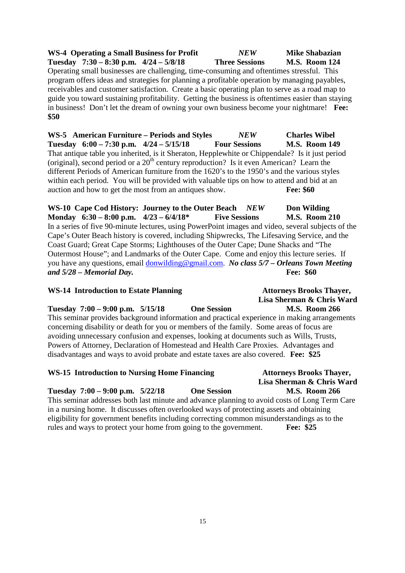**WS-4 Operating a Small Business for Profit** *NEW* **Mike Shabazian Tuesday 7:30 – 8:30 p.m. 4/24 – 5/8/18 Three Sessions M.S. Room 124**  Operating small businesses are challenging, time-consuming and oftentimes stressful. This program offers ideas and strategies for planning a profitable operation by managing payables, receivables and customer satisfaction. Create a basic operating plan to serve as a road map to guide you toward sustaining profitability. Getting the business is oftentimes easier than staying in business! Don't let the dream of owning your own business become your nightmare! **Fee: \$50** 

**WS-5 American Furniture – Periods and Styles** *NEW* **Charles Wibel Tuesday 6:00 – 7:30 p.m. 4/24 – 5/15/18 Four Sessions M.S. Room 149**  That antique table you inherited, is it Sheraton, Hepplewhite or Chippendale? Is it just period (original), second period or a  $20<sup>th</sup>$  century reproduction? Is it even American? Learn the different Periods of American furniture from the 1620's to the 1950's and the various styles within each period. You will be provided with valuable tips on how to attend and bid at an auction and how to get the most from an antiques show. **Fee: \$60** 

**WS-10 Cape Cod History: Journey to the Outer Beach** *NEW* **Don Wilding Monday 6:30 – 8:00 p.m. 4/23 – 6/4/18\* Five Sessions M.S. Room 210**  In a series of five 90-minute lectures, using PowerPoint images and video, several subjects of the Cape's Outer Beach history is covered, including Shipwrecks, The Lifesaving Service, and the Coast Guard; Great Cape Storms; Lighthouses of the Outer Cape; Dune Shacks and "The Outermost House"; and Landmarks of the Outer Cape. Come and enjoy this lecture series. If you have any questions, email donwilding@gmail.com. *No class 5/7 – Orleans Town Meeting and 5/28 – Memorial Day.* **Fee: \$60** 

### WS-14 Introduction to Estate Planning **Attorneys Brooks Thayer**,

**Tuesday 7:00 – 9:00 p.m. 5/15/18 One Session M.S. Room 266**  This seminar provides background information and practical experience in making arrangements concerning disability or death for you or members of the family. Some areas of focus are avoiding unnecessary confusion and expenses, looking at documents such as Wills, Trusts, Powers of Attorney, Declaration of Homestead and Health Care Proxies. Advantages and disadvantages and ways to avoid probate and estate taxes are also covered. **Fee: \$25** 

### **WS-15 Introduction to Nursing Home Financing Attorneys Brooks Thayer,**

**Tuesday 7:00 – 9:00 p.m. 5/22/18 One Session M.S. Room 266**  This seminar addresses both last minute and advance planning to avoid costs of Long Term Care in a nursing home. It discusses often overlooked ways of protecting assets and obtaining eligibility for government benefits including correcting common misunderstandings as to the rules and ways to protect your home from going to the government. **Fee: \$25** 

# **Lisa Sherman & Chris Ward**

# **Lisa Sherman & Chris Ward**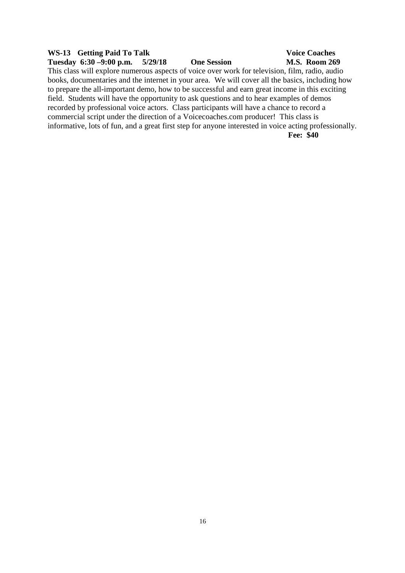### WS-13 Getting Paid To Talk Voice Coaches **Tuesday 6:30 –9:00 p.m. 5/29/18 One Session M.S. Room 269**  This class will explore numerous aspects of voice over work for television, film, radio, audio books, documentaries and the internet in your area. We will cover all the basics, including how to prepare the all-important demo, how to be successful and earn great income in this exciting field. Students will have the opportunity to ask questions and to hear examples of demos recorded by professional voice actors. Class participants will have a chance to record a commercial script under the direction of a Voicecoaches.com producer! This class is informative, lots of fun, and a great first step for anyone interested in voice acting professionally. **Fee: \$40**